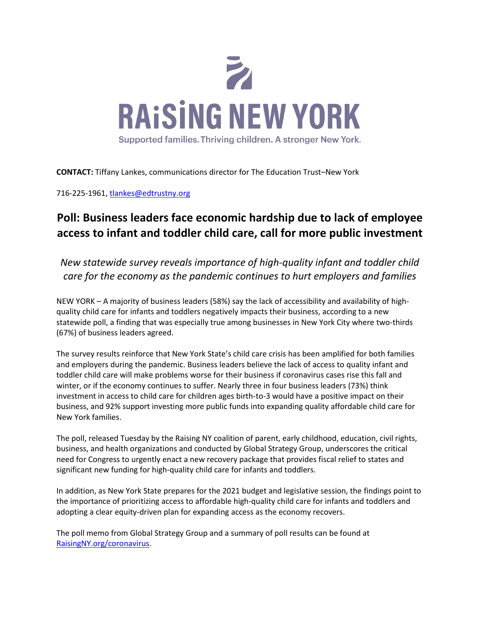

**CONTACT:** Tiffany Lankes, communications director for The Education Trust–New York

716-225-1961[, tlankes@edtrustny.org](mailto:tlankes@edtrustny.org)

## **Poll: Business leaders face economic hardship due to lack of employee access to infant and toddler child care, call for more public investment**

*New statewide survey reveals importance of high-quality infant and toddler child care for the economy as the pandemic continues to hurt employers and families*

NEW YORK – A majority of business leaders (58%) say the lack of accessibility and availability of highquality child care for infants and toddlers negatively impacts their business, according to a new statewide poll, a finding that was especially true among businesses in New York City where two-thirds (67%) of business leaders agreed.

The survey results reinforce that New York State's child care crisis has been amplified for both families and employers during the pandemic. Business leaders believe the lack of access to quality infant and toddler child care will make problems worse for their business if coronavirus cases rise this fall and winter, or if the economy continues to suffer. Nearly three in four business leaders (73%) think investment in access to child care for children ages birth-to-3 would have a positive impact on their business, and 92% support investing more public funds into expanding quality affordable child care for New York families.

The poll, released Tuesday by the Raising NY coalition of parent, early childhood, education, civil rights, business, and health organizations and conducted by Global Strategy Group, underscores the critical need for Congress to urgently enact a new recovery package that provides fiscal relief to states and significant new funding for high-quality child care for infants and toddlers.

In addition, as New York State prepares for the 2021 budget and legislative session, the findings point to the importance of prioritizing access to affordable high-quality child care for infants and toddlers and adopting a clear equity-driven plan for expanding access as the economy recovers.

The poll memo from Global Strategy Group and a summary of poll results can be found at [RaisingNY.org/coronavirus.](https://raisingnewyork.org/coronavirus/)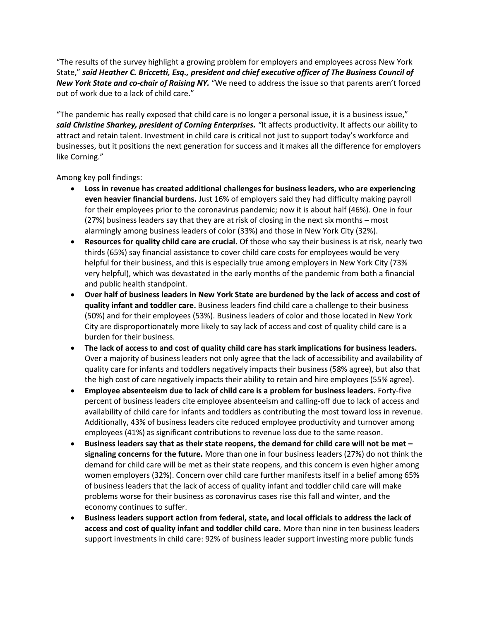"The results of the survey highlight a growing problem for employers and employees across New York State," *said Heather C. Briccetti, Esq., president and chief executive officer of The Business Council of New York State and co-chair of Raising NY.* "We need to address the issue so that parents aren't forced out of work due to a lack of child care."

"The pandemic has really exposed that child care is no longer a personal issue, it is a business issue," *said Christine Sharkey, president of Corning Enterprises. "*It affects productivity. It affects our ability to attract and retain talent. Investment in child care is critical not just to support today's workforce and businesses, but it positions the next generation for success and it makes all the difference for employers like Corning."

Among key poll findings:

- **Loss in revenue has created additional challenges for business leaders, who are experiencing even heavier financial burdens.** Just 16% of employers said they had difficulty making payroll for their employees prior to the coronavirus pandemic; now it is about half (46%). One in four (27%) business leaders say that they are at risk of closing in the next six months – most alarmingly among business leaders of color (33%) and those in New York City (32%).
- **Resources for quality child care are crucial.** Of those who say their business is at risk, nearly two thirds (65%) say financial assistance to cover child care costs for employees would be very helpful for their business, and this is especially true among employers in New York City (73% very helpful), which was devastated in the early months of the pandemic from both a financial and public health standpoint.
- **Over half of business leaders in New York State are burdened by the lack of access and cost of quality infant and toddler care.** Business leaders find child care a challenge to their business (50%) and for their employees (53%). Business leaders of color and those located in New York City are disproportionately more likely to say lack of access and cost of quality child care is a burden for their business.
- **The lack of access to and cost of quality child care has stark implications for business leaders.** Over a majority of business leaders not only agree that the lack of accessibility and availability of quality care for infants and toddlers negatively impacts their business (58% agree), but also that the high cost of care negatively impacts their ability to retain and hire employees (55% agree).
- **Employee absenteeism due to lack of child care is a problem for business leaders.** Forty-five percent of business leaders cite employee absenteeism and calling-off due to lack of access and availability of child care for infants and toddlers as contributing the most toward loss in revenue. Additionally, 43% of business leaders cite reduced employee productivity and turnover among employees (41%) as significant contributions to revenue loss due to the same reason.
- **Business leaders say that as their state reopens, the demand for child care will not be met – signaling concerns for the future.** More than one in four business leaders (27%) do not think the demand for child care will be met as their state reopens, and this concern is even higher among women employers (32%). Concern over child care further manifests itself in a belief among 65% of business leaders that the lack of access of quality infant and toddler child care will make problems worse for their business as coronavirus cases rise this fall and winter, and the economy continues to suffer.
- **Business leaders support action from federal, state, and local officials to address the lack of access and cost of quality infant and toddler child care.** More than nine in ten business leaders support investments in child care: 92% of business leader support investing more public funds